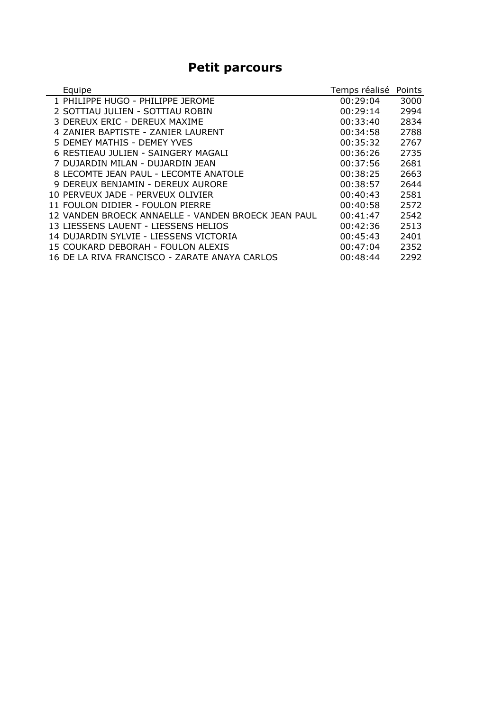## **Petit parcours**

| Equipe                                              | Temps réalisé | Points |
|-----------------------------------------------------|---------------|--------|
| 1 PHILIPPE HUGO - PHILIPPE JEROME                   | 00:29:04      | 3000   |
| 2 SOTTIAU JULIEN - SOTTIAU ROBIN                    | 00:29:14      | 2994   |
| 3 DEREUX ERIC - DEREUX MAXIME                       | 00:33:40      | 2834   |
| 4 ZANIER BAPTISTE - ZANIER LAURENT                  | 00:34:58      | 2788   |
| 5 DEMEY MATHIS - DEMEY YVES                         | 00:35:32      | 2767   |
| 6 RESTIEAU JULIEN - SAINGERY MAGALI                 | 00:36:26      | 2735   |
| 7 DUJARDIN MILAN - DUJARDIN JEAN                    | 00:37:56      | 2681   |
| 8 LECOMTE JEAN PAUL - LECOMTE ANATOLE               | 00:38:25      | 2663   |
| 9 DEREUX BENJAMIN - DEREUX AURORE                   | 00:38:57      | 2644   |
| 10 PERVEUX JADE - PERVEUX OLIVIER                   | 00:40:43      | 2581   |
| 11 FOULON DIDIER - FOULON PIERRE                    | 00:40:58      | 2572   |
| 12 VANDEN BROECK ANNAELLE - VANDEN BROECK JEAN PAUL | 00:41:47      | 2542   |
| 13 LIESSENS LAUENT - LIESSENS HELIOS                | 00:42:36      | 2513   |
| 14 DUJARDIN SYLVIE - LIESSENS VICTORIA              | 00:45:43      | 2401   |
| 15 COUKARD DEBORAH - FOULON ALEXIS                  | 00:47:04      | 2352   |
| 16 DE LA RIVA FRANCISCO - ZARATE ANAYA CARLOS       | 00:48:44      | 2292   |